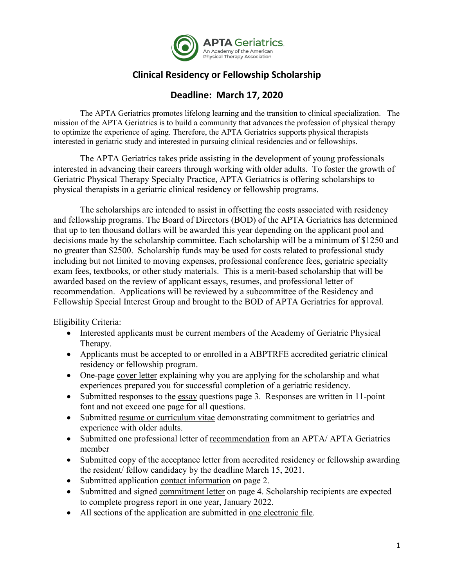

## **Clinical Residency or Fellowship Scholarship**

## **Deadline: March 17, 2020**

The APTA Geriatrics promotes lifelong learning and the transition to clinical specialization. The mission of the APTA Geriatrics is to build a community that advances the profession of physical therapy to optimize the experience of aging. Therefore, the APTA Geriatrics supports physical therapists interested in geriatric study and interested in pursuing clinical residencies and or fellowships.

The APTA Geriatrics takes pride assisting in the development of young professionals interested in advancing their careers through working with older adults. To foster the growth of Geriatric Physical Therapy Specialty Practice, APTA Geriatrics is offering scholarships to physical therapists in a geriatric clinical residency or fellowship programs.

The scholarships are intended to assist in offsetting the costs associated with residency and fellowship programs. The Board of Directors (BOD) of the APTA Geriatrics has determined that up to ten thousand dollars will be awarded this year depending on the applicant pool and decisions made by the scholarship committee. Each scholarship will be a minimum of \$1250 and no greater than \$2500. Scholarship funds may be used for costs related to professional study including but not limited to moving expenses, professional conference fees, geriatric specialty exam fees, textbooks, or other study materials. This is a merit-based scholarship that will be awarded based on the review of applicant essays, resumes, and professional letter of recommendation. Applications will be reviewed by a subcommittee of the Residency and Fellowship Special Interest Group and brought to the BOD of APTA Geriatrics for approval.

Eligibility Criteria:

- Interested applicants must be current members of the Academy of Geriatric Physical Therapy.
- Applicants must be accepted to or enrolled in a ABPTRFE accredited geriatric clinical residency or fellowship program.
- One-page cover letter explaining why you are applying for the scholarship and what experiences prepared you for successful completion of a geriatric residency.
- Submitted responses to the essay questions page 3. Responses are written in 11-point font and not exceed one page for all questions.
- Submitted resume or curriculum vitae demonstrating commitment to geriatrics and experience with older adults.
- Submitted one professional letter of recommendation from an APTA/ APTA Geriatrics member
- Submitted copy of the acceptance letter from accredited residency or fellowship awarding the resident/ fellow candidacy by the deadline March 15, 2021.
- Submitted application contact information on page 2.
- Submitted and signed commitment letter on page 4. Scholarship recipients are expected to complete progress report in one year, January 2022.
- All sections of the application are submitted in one electronic file.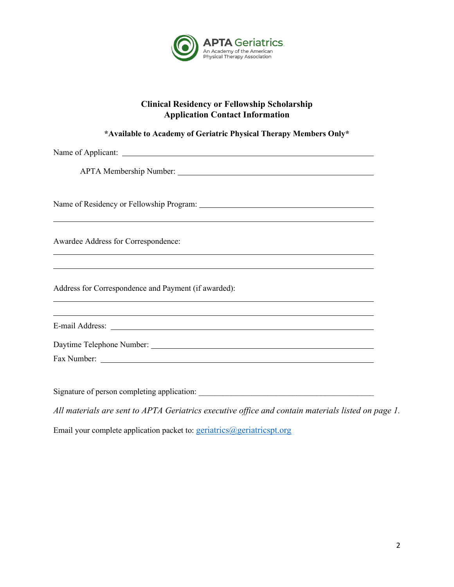

## **Clinical Residency or Fellowship Scholarship Application Contact Information**

| *Available to Academy of Geriatric Physical Therapy Members Only*                                     |
|-------------------------------------------------------------------------------------------------------|
|                                                                                                       |
|                                                                                                       |
|                                                                                                       |
| Awardee Address for Correspondence:<br><u> 1989 - Johann Stoff, amerikansk politiker (d. 1989)</u>    |
| <u> 1989 - Andrea Andrew Maria (h. 1989).</u><br>Address for Correspondence and Payment (if awarded): |
| ,我们也不会有什么。""我们的人,我们也不会有什么?""我们的人,我们也不会有什么?""我们的人,我们也不会有什么?""我们的人,我们也不会有什么?""我们的人                      |
|                                                                                                       |
|                                                                                                       |
|                                                                                                       |
| All materials are sent to APTA Geriatrics executive office and contain materials listed on page 1.    |

Email your complete application packet to: [geriatrics@geriatricspt.org](mailto:geriatrics@geriatricspt.org?subject=Message%20from%20geriatricspt.org%20webiste)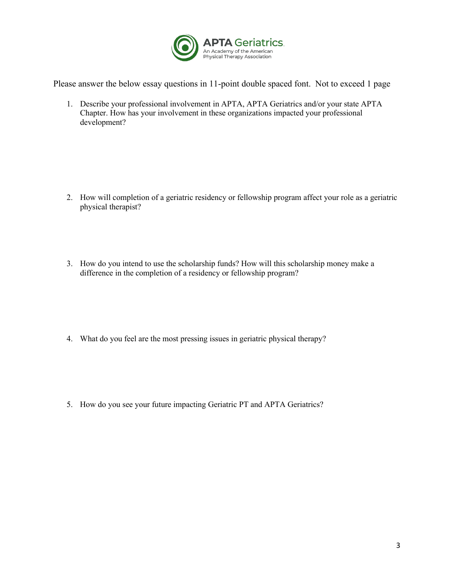

Please answer the below essay questions in 11-point double spaced font. Not to exceed 1 page

1. Describe your professional involvement in APTA, APTA Geriatrics and/or your state APTA Chapter. How has your involvement in these organizations impacted your professional development?

- 2. How will completion of a geriatric residency or fellowship program affect your role as a geriatric physical therapist?
- 3. How do you intend to use the scholarship funds? How will this scholarship money make a difference in the completion of a residency or fellowship program?
- 4. What do you feel are the most pressing issues in geriatric physical therapy?
- 5. How do you see your future impacting Geriatric PT and APTA Geriatrics?